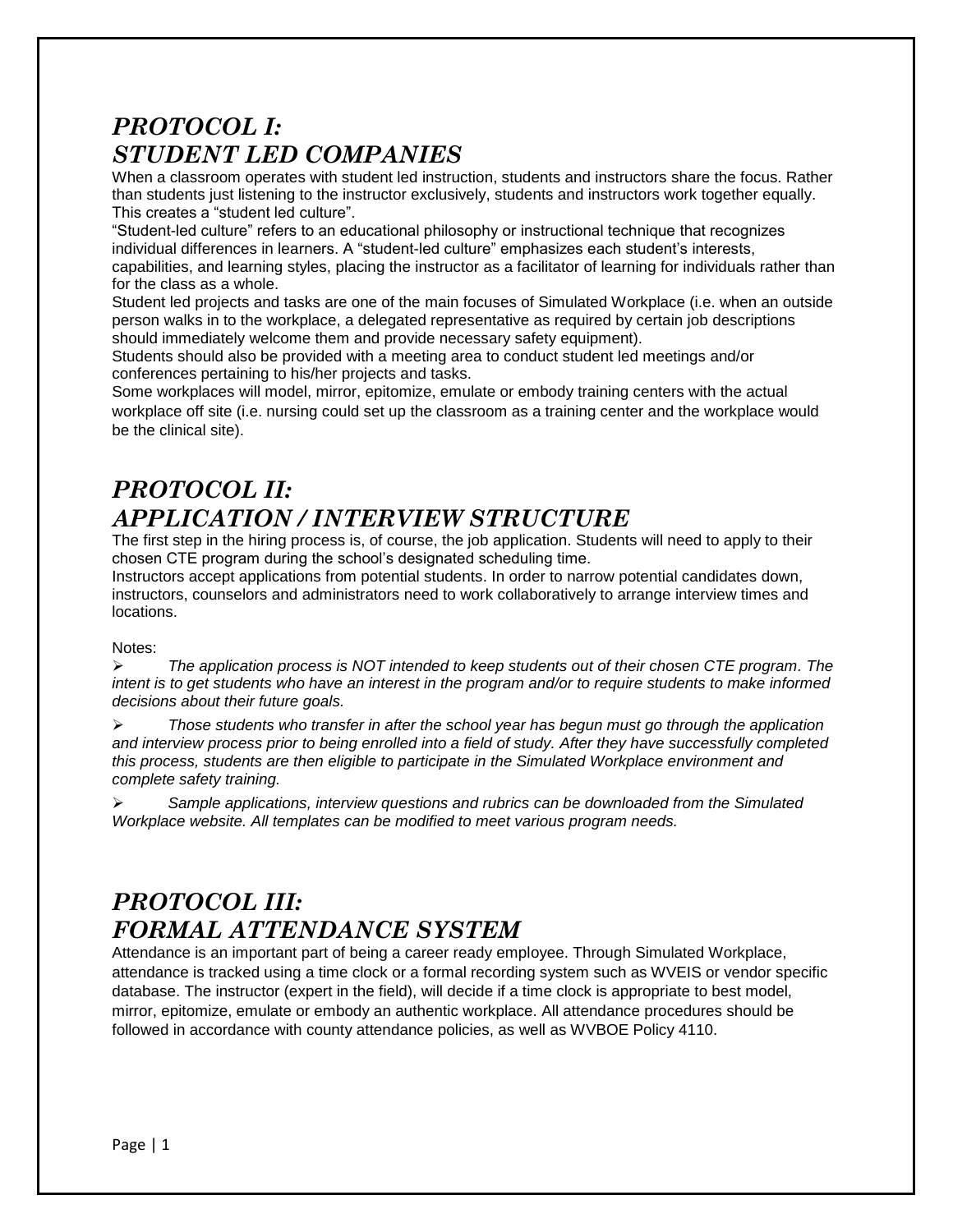## *PROTOCOL I: STUDENT LED COMPANIES*

When a classroom operates with student led instruction, students and instructors share the focus. Rather than students just listening to the instructor exclusively, students and instructors work together equally. This creates a "student led culture".

"Student-led culture" refers to an educational philosophy or instructional technique that recognizes individual differences in learners. A "student-led culture" emphasizes each student's interests, capabilities, and learning styles, placing the instructor as a facilitator of learning for individuals rather than for the class as a whole.

Student led projects and tasks are one of the main focuses of Simulated Workplace (i.e. when an outside person walks in to the workplace, a delegated representative as required by certain job descriptions should immediately welcome them and provide necessary safety equipment).

Students should also be provided with a meeting area to conduct student led meetings and/or conferences pertaining to his/her projects and tasks.

Some workplaces will model, mirror, epitomize, emulate or embody training centers with the actual workplace off site (i.e. nursing could set up the classroom as a training center and the workplace would be the clinical site).

## *PROTOCOL II: APPLICATION / INTERVIEW STRUCTURE*

The first step in the hiring process is, of course, the job application. Students will need to apply to their chosen CTE program during the school's designated scheduling time.

Instructors accept applications from potential students. In order to narrow potential candidates down, instructors, counselors and administrators need to work collaboratively to arrange interview times and locations.

#### Notes:

 *The application process is NOT intended to keep students out of their chosen CTE program. The intent is to get students who have an interest in the program and/or to require students to make informed decisions about their future goals.* 

 *Those students who transfer in after the school year has begun must go through the application and interview process prior to being enrolled into a field of study. After they have successfully completed this process, students are then eligible to participate in the Simulated Workplace environment and complete safety training.* 

 *Sample applications, interview questions and rubrics can be downloaded from the Simulated Workplace website. All templates can be modified to meet various program needs.* 

## *PROTOCOL III: FORMAL ATTENDANCE SYSTEM*

Attendance is an important part of being a career ready employee. Through Simulated Workplace, attendance is tracked using a time clock or a formal recording system such as WVEIS or vendor specific database. The instructor (expert in the field), will decide if a time clock is appropriate to best model, mirror, epitomize, emulate or embody an authentic workplace. All attendance procedures should be followed in accordance with county attendance policies, as well as WVBOE Policy 4110.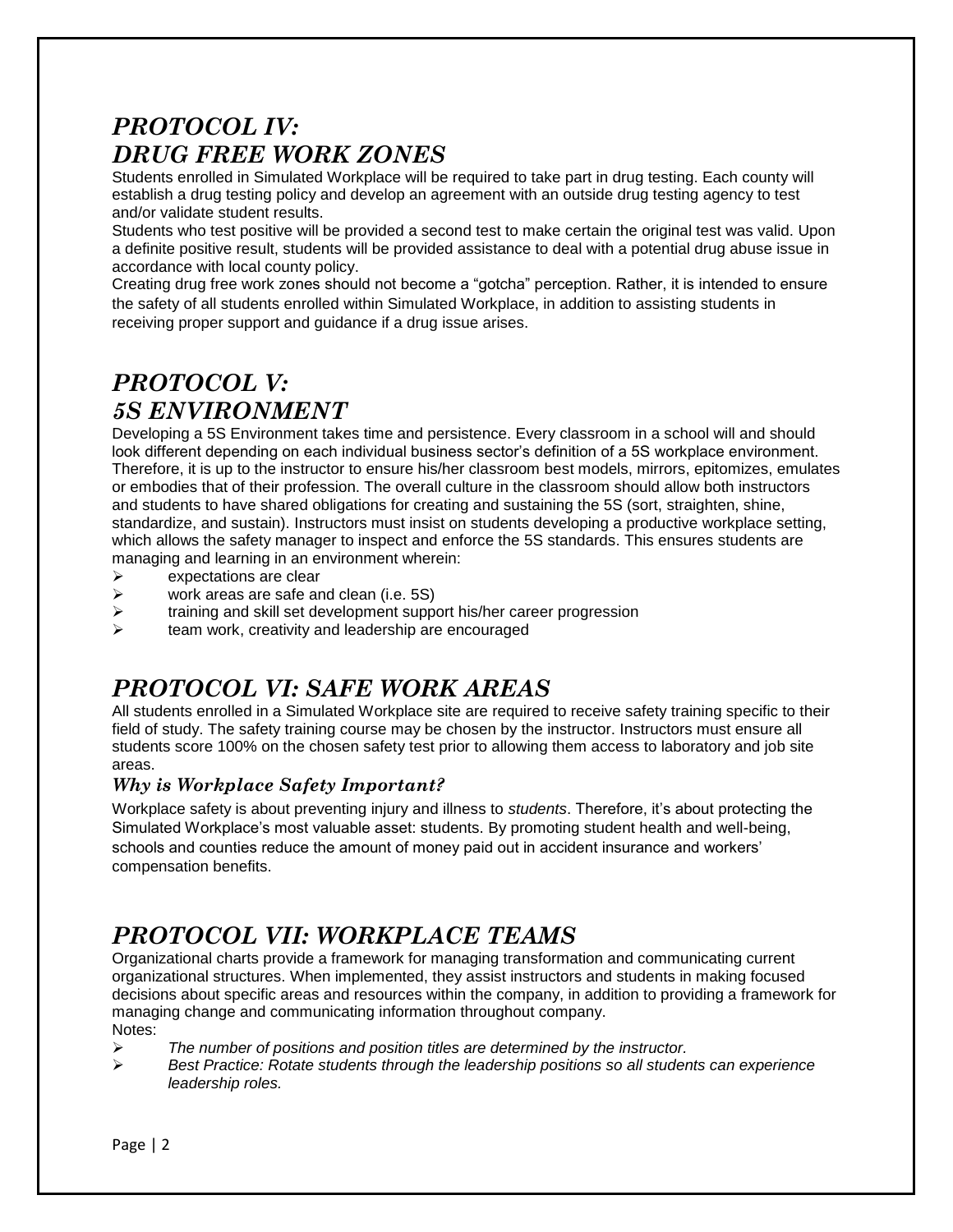## *PROTOCOL IV: DRUG FREE WORK ZONES*

Students enrolled in Simulated Workplace will be required to take part in drug testing. Each county will establish a drug testing policy and develop an agreement with an outside drug testing agency to test and/or validate student results.

Students who test positive will be provided a second test to make certain the original test was valid. Upon a definite positive result, students will be provided assistance to deal with a potential drug abuse issue in accordance with local county policy.

Creating drug free work zones should not become a "gotcha" perception. Rather, it is intended to ensure the safety of all students enrolled within Simulated Workplace, in addition to assisting students in receiving proper support and guidance if a drug issue arises.

## *PROTOCOL V: 5S ENVIRONMENT*

Developing a 5S Environment takes time and persistence. Every classroom in a school will and should look different depending on each individual business sector's definition of a 5S workplace environment. Therefore, it is up to the instructor to ensure his/her classroom best models, mirrors, epitomizes, emulates or embodies that of their profession. The overall culture in the classroom should allow both instructors and students to have shared obligations for creating and sustaining the 5S (sort, straighten, shine, standardize, and sustain). Instructors must insist on students developing a productive workplace setting, which allows the safety manager to inspect and enforce the 5S standards. This ensures students are managing and learning in an environment wherein:

- $\triangleright$  expectations are clear
- $\triangleright$  work areas are safe and clean (i.e. 5S)
- $\triangleright$  training and skill set development support his/her career progression
- $\triangleright$  team work, creativity and leadership are encouraged

### *PROTOCOL VI: SAFE WORK AREAS*

All students enrolled in a Simulated Workplace site are required to receive safety training specific to their field of study. The safety training course may be chosen by the instructor. Instructors must ensure all students score 100% on the chosen safety test prior to allowing them access to laboratory and job site areas.

### *Why is Workplace Safety Important?*

Workplace safety is about preventing injury and illness to *students*. Therefore, it's about protecting the Simulated Workplace's most valuable asset: students. By promoting student health and well-being, schools and counties reduce the amount of money paid out in accident insurance and workers' compensation benefits.

### *PROTOCOL VII: WORKPLACE TEAMS*

Organizational charts provide a framework for managing transformation and communicating current organizational structures. When implemented, they assist instructors and students in making focused decisions about specific areas and resources within the company, in addition to providing a framework for managing change and communicating information throughout company. Notes:

- *The number of positions and position titles are determined by the instructor.*
- *Best Practice: Rotate students through the leadership positions so all students can experience leadership roles.*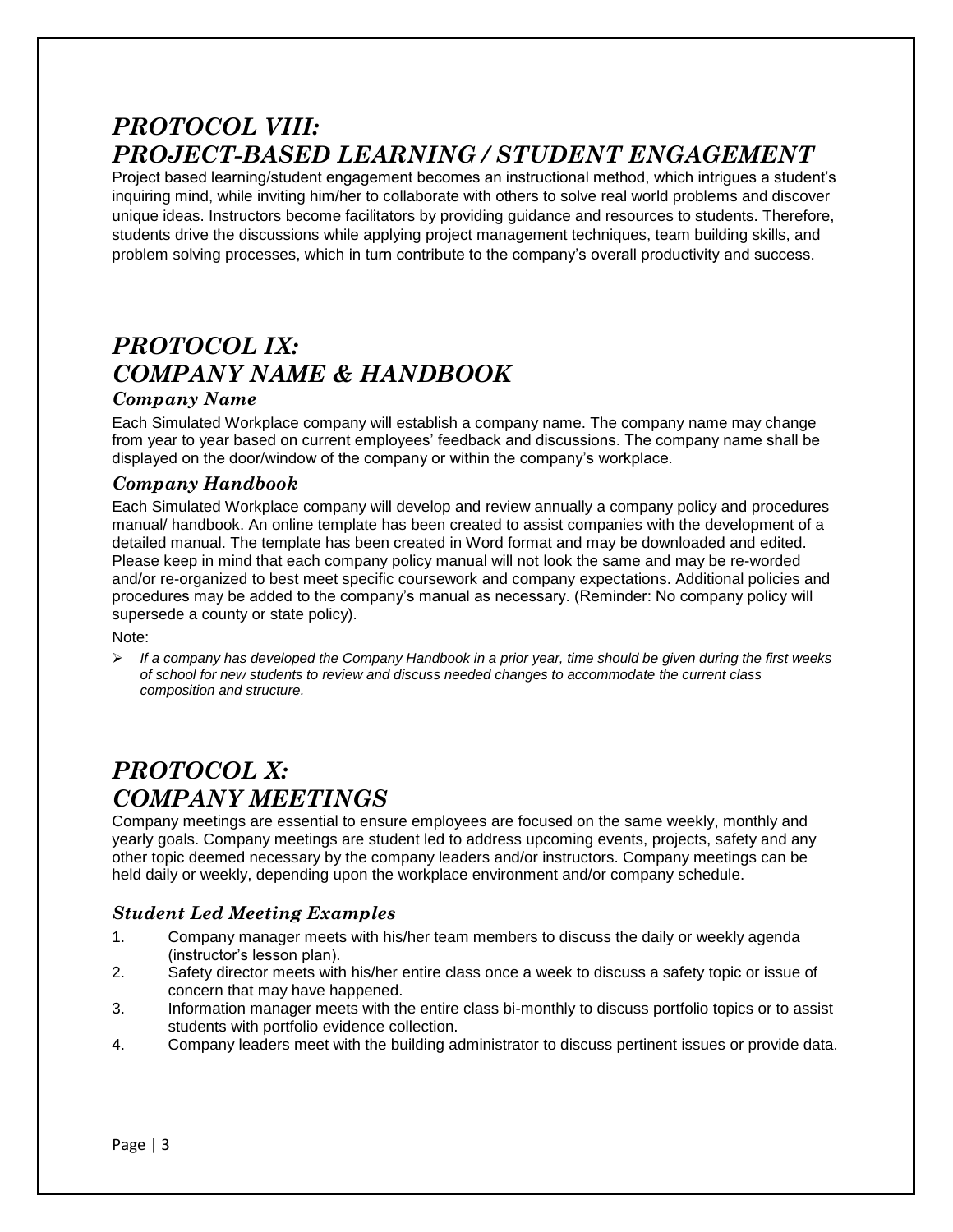### *PROTOCOL VIII: PROJECT-BASED LEARNING / STUDENT ENGAGEMENT*

Project based learning/student engagement becomes an instructional method, which intrigues a student's inquiring mind, while inviting him/her to collaborate with others to solve real world problems and discover unique ideas. Instructors become facilitators by providing guidance and resources to students. Therefore, students drive the discussions while applying project management techniques, team building skills, and problem solving processes, which in turn contribute to the company's overall productivity and success.

# *PROTOCOL IX: COMPANY NAME & HANDBOOK*

### *Company Name*

Each Simulated Workplace company will establish a company name. The company name may change from year to year based on current employees' feedback and discussions. The company name shall be displayed on the door/window of the company or within the company's workplace.

#### *Company Handbook*

Each Simulated Workplace company will develop and review annually a company policy and procedures manual/ handbook. An online template has been created to assist companies with the development of a detailed manual. The template has been created in Word format and may be downloaded and edited. Please keep in mind that each company policy manual will not look the same and may be re-worded and/or re-organized to best meet specific coursework and company expectations. Additional policies and procedures may be added to the company's manual as necessary. (Reminder: No company policy will supersede a county or state policy).

#### Note:

 *If a company has developed the Company Handbook in a prior year, time should be given during the first weeks of school for new students to review and discuss needed changes to accommodate the current class composition and structure.*

### *PROTOCOL X: COMPANY MEETINGS*

Company meetings are essential to ensure employees are focused on the same weekly, monthly and yearly goals. Company meetings are student led to address upcoming events, projects, safety and any other topic deemed necessary by the company leaders and/or instructors. Company meetings can be held daily or weekly, depending upon the workplace environment and/or company schedule.

### *Student Led Meeting Examples*

- 1. Company manager meets with his/her team members to discuss the daily or weekly agenda (instructor's lesson plan).
- 2. Safety director meets with his/her entire class once a week to discuss a safety topic or issue of concern that may have happened.
- 3. Information manager meets with the entire class bi-monthly to discuss portfolio topics or to assist students with portfolio evidence collection.
- 4. Company leaders meet with the building administrator to discuss pertinent issues or provide data.